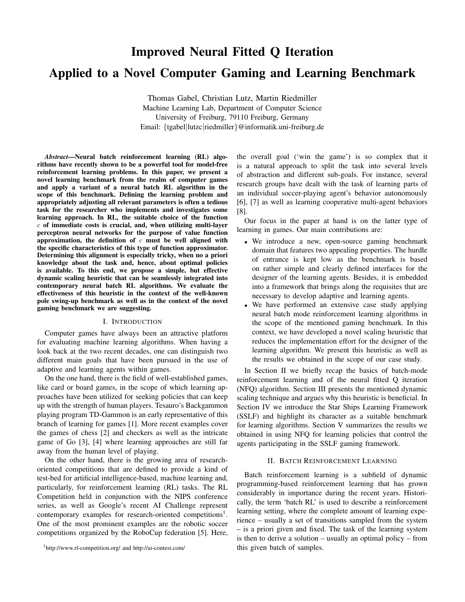# Improved Neural Fitted Q Iteration Applied to a Novel Computer Gaming and Learning Benchmark

Thomas Gabel, Christian Lutz, Martin Riedmiller Machine Learning Lab, Department of Computer Science University of Freiburg, 79110 Freiburg, Germany Email: {tgabel|lutzc|riedmiller}@informatik.uni-freiburg.de

*Abstract*—Neural batch reinforcement learning (RL) algorithms have recently shown to be a powerful tool for model-free reinforcement learning problems. In this paper, we present a novel learning benchmark from the realm of computer games and apply a variant of a neural batch RL algorithm in the scope of this benchmark. Defining the learning problem and appropriately adjusting all relevant parameters is often a tedious task for the researcher who implements and investigates some learning approach. In RL, the suitable choice of the function  $c$  of immediate costs is crucial, and, when utilizing multi-layer perceptron neural networks for the purpose of value function approximation, the definition of  $c$  must be well aligned with the specific characteristics of this type of function approximator. Determining this alignment is especially tricky, when no a priori knowledge about the task and, hence, about optimal policies is available. To this end, we propose a simple, but effective dynamic scaling heuristic that can be seamlessly integrated into contemporary neural batch RL algorithms. We evaluate the effectiveness of this heuristic in the context of the well-known pole swing-up benchmark as well as in the context of the novel gaming benchmark we are suggesting.

#### I. INTRODUCTION

Computer games have always been an attractive platform for evaluating machine learning algorithms. When having a look back at the two recent decades, one can distinguish two different main goals that have been pursued in the use of adaptive and learning agents within games.

On the one hand, there is the field of well-established games, like card or board games, in the scope of which learning approaches have been utilized for seeking policies that can keep up with the strength of human players. Tesauro's Backgammon playing program TD-Gammon is an early representative of this branch of learning for games [1]. More recent examples cover the games of chess [2] and checkers as well as the intricate game of Go [3], [4] where learning approaches are still far away from the human level of playing.

On the other hand, there is the growing area of researchoriented competitions that are defined to provide a kind of test-bed for artificial intelligence-based, machine learning and, particularly, for reinforcement learning (RL) tasks. The RL Competition held in conjunction with the NIPS conference series, as well as Google's recent AI Challenge represent contemporary examples for research-oriented competitions<sup>1</sup>. One of the most prominent examples are the robotic soccer competitions organized by the RoboCup federation [5]. Here,

<sup>1</sup>http://www.rl-competition.org/ and http://ai-contest.com/

the overall goal ('win the game') is so complex that it is a natural approach to split the task into several levels of abstraction and different sub-goals. For instance, several research groups have dealt with the task of learning parts of an individual soccer-playing agent's behavior autonomously [6], [7] as well as learning cooperative multi-agent behaviors [8].

Our focus in the paper at hand is on the latter type of learning in games. Our main contributions are:

- We introduce a new, open-source gaming benchmark domain that features two appealing properties. The hurdle of entrance is kept low as the benchmark is based on rather simple and clearly defined interfaces for the designer of the learning agents. Besides, it is embedded into a framework that brings along the requisites that are necessary to develop adaptive and learning agents.
- We have performed an extensive case study applying neural batch mode reinforcement learning algorithms in the scope of the mentioned gaming benchmark. In this context, we have developed a novel scaling heuristic that reduces the implementation effort for the designer of the learning algorithm. We present this heuristic as well as the results we obtained in the scope of our case study.

In Section II we briefly recap the basics of batch-mode reinforcement learning and of the neural fitted Q iteration (NFQ) algorithm. Section III presents the mentioned dynamic scaling technique and argues why this heuristic is beneficial. In Section IV we introduce the Star Ships Learning Framework (SSLF) and highlight its character as a suitable benchmark for learning algorithms. Section V summarizes the results we obtained in using NFQ for learning policies that control the agents participating in the SSLF gaming framework.

### II. BATCH REINFORCEMENT LEARNING

Batch reinforcement learning is a subfield of dynamic programming-based reinforcement learning that has grown considerably in importance during the recent years. Historically, the term 'batch RL' is used to describe a reinforcement learning setting, where the complete amount of learning experience – usually a set of transitions sampled from the system – is a priori given and fixed. The task of the learning system is then to derive a solution – usually an optimal policy – from this given batch of samples.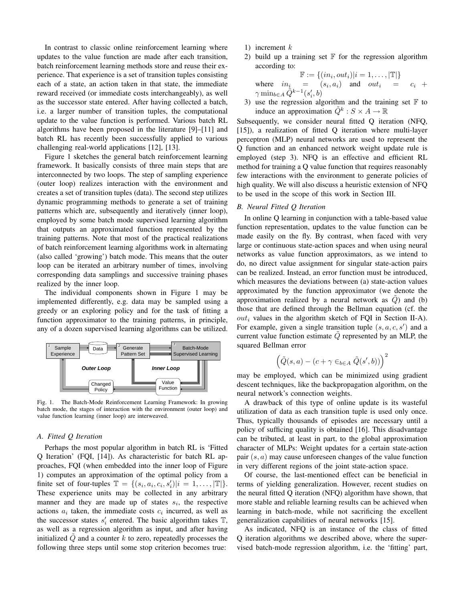In contrast to classic online reinforcement learning where updates to the value function are made after each transition, batch reinforcement learning methods store and reuse their experience. That experience is a set of transition tuples consisting each of a state, an action taken in that state, the immediate reward received (or immediate costs interchangeably), as well as the successor state entered. After having collected a batch, i.e. a larger number of transition tuples, the computational update to the value function is performed. Various batch RL algorithms have been proposed in the literature [9]–[11] and batch RL has recently been successfully applied to various challenging real-world applications [12], [13].

Figure 1 sketches the general batch reinforcement learning framework. It basically consists of three main steps that are interconnected by two loops. The step of sampling experience (outer loop) realizes interaction with the environment and creates a set of transition tuples (data). The second step utilizes dynamic programming methods to generate a set of training patterns which are, subsequently and iteratively (inner loop), employed by some batch mode supervised learning algorithm that outputs an approximated function represented by the training patterns. Note that most of the practical realizations of batch reinforcement learning algorithms work in alternating (also called 'growing') batch mode. This means that the outer loop can be iterated an arbitrary number of times, involving corresponding data samplings and successive training phases realized by the inner loop.

The individual components shown in Figure 1 may be implemented differently, e.g. data may be sampled using a greedy or an exploring policy and for the task of fitting a function approximator to the training patterns, in principle, any of a dozen supervised learning algorithms can be utilized.



Fig. 1. The Batch-Mode Reinforcement Learning Framework: In growing batch mode, the stages of interaction with the environment (outer loop) and value function learning (inner loop) are interweaved.

#### *A. Fitted Q Iteration*

Perhaps the most popular algorithm in batch RL is 'Fitted Q Iteration' (FQI, [14]). As characteristic for batch RL approaches, FQI (when embedded into the inner loop of Figure 1) computes an approximation of the optimal policy from a finite set of four-tuples  $\mathbb{T} = \{(s_i, a_i, c_i, s'_i)|i = 1, \ldots, |\mathbb{T}|\}.$ These experience units may be collected in any arbitrary manner and they are made up of states  $s_i$ , the respective actions  $a_i$  taken, the immediate costs  $c_i$  incurred, as well as the successor states  $s_i'$  entered. The basic algorithm takes  $\mathbb{T}$ , as well as a regression algorithm as input, and after having initialized  $Q$  and a counter  $k$  to zero, repeatedly processes the following three steps until some stop criterion becomes true:

- 1) increment  $k$
- 2) build up a training set  $\mathbb F$  for the regression algorithm according to:

$$
\mathbb{F} := \{ (in_i, out_i) | i = 1, ..., |\mathbb{T} | \}
$$
  
where  $in_i = (s_i, a_i)$  and  $out_i = c_i + \gamma \min_{b \in A} \tilde{Q}^{k-1}(s'_i, b)$ 

3) use the regression algorithm and the training set  $\mathbb F$  to induce an approximation  $\tilde{Q}^k : S \times A \rightarrow \mathbb{R}$ 

Subsequently, we consider neural fitted Q iteration (NFQ, [15]), a realization of fitted Q iteration where multi-layer perceptron (MLP) neural networks are used to represent the Q function and an enhanced network weight update rule is employed (step 3). NFQ is an effective and efficient RL method for training a Q value function that requires reasonably few interactions with the environment to generate policies of high quality. We will also discuss a heuristic extension of NFQ to be used in the scope of this work in Section III.

## *B. Neural Fitted Q Iteration*

In online Q learning in conjunction with a table-based value function representation, updates to the value function can be made easily on the fly. By contrast, when faced with very large or continuous state-action spaces and when using neural networks as value function approximators, as we intend to do, no direct value assignment for singular state-action pairs can be realized. Instead, an error function must be introduced, which measures the deviations between (a) state-action values approximated by the function approximator (we denote the approximation realized by a neural network as  $\ddot{Q}$ ) and (b) those that are defined through the Bellman equation (cf. the  $out_i$  values in the algorithm sketch of FQI in Section II-A). For example, given a single transition tuple  $(s, a, c, s')$  and a current value function estimate  $Q$  represented by an MLP, the squared Bellman error

$$
\Big(\tilde Q(s,a) - (c + \gamma \in_{b \in A} \tilde Q(s',b))\Big)^2
$$

may be employed, which can be minimized using gradient descent techniques, like the backpropagation algorithm, on the neural network's connection weights.

A drawback of this type of online update is its wasteful utilization of data as each transition tuple is used only once. Thus, typically thousands of episodes are necessary until a policy of sufficing quality is obtained [16]. This disadvantage can be tributed, at least in part, to the global approximation character of MLPs: Weight updates for a certain state-action pair  $(s, a)$  may cause unforeseen changes of the value function in very different regions of the joint state-action space.

Of course, the last-mentioned effect can be beneficial in terms of yielding generalization. However, recent studies on the neural fitted Q iteration (NFQ) algorithm have shown, that more stable and reliable learning results can be achieved when learning in batch-mode, while not sacrificing the excellent generalization capabilities of neural networks [15].

As indicated, NFQ is an instance of the class of fitted Q iteration algorithms we described above, where the supervised batch-mode regression algorithm, i.e. the 'fitting' part,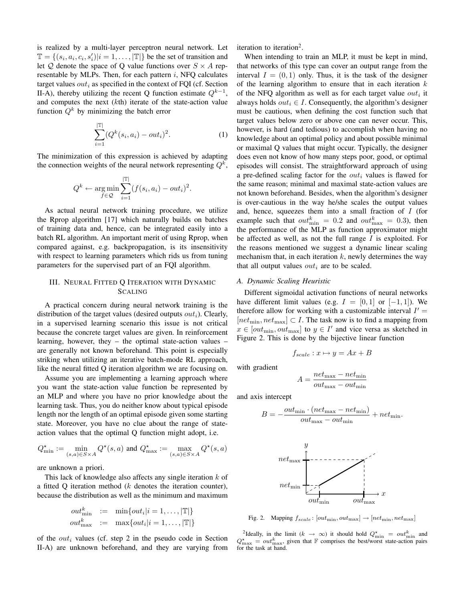is realized by a multi-layer perceptron neural network. Let  $\mathbb{T} = \{(s_i, a_i, c_i, s'_i) | i = 1, \dots, |\mathbb{T}| \}$  be the set of transition and let Q denote the space of Q value functions over  $S \times A$  representable by MLPs. Then, for each pattern  $i$ , NFQ calculates target values  $out_i$  as specified in the context of FQI (cf. Section II-A), thereby utilizing the recent Q function estimate  $Q^{k-1}$ , and computes the next (kth) iterate of the state-action value function  $Q^k$  by minimizing the batch error

$$
\sum_{i=1}^{|\mathbb{T}|} (Q^k(s_i, a_i) - out_i)^2.
$$
 (1)

The minimization of this expression is achieved by adapting the connection weights of the neural network representing  $Q^k$ ,

$$
Q^{k} \leftarrow \underset{f \in \mathcal{Q}}{\arg \min} \sum_{i=1}^{|\mathbb{T}|} (f(s_i, a_i) - out_i)^2.
$$

As actual neural network training procedure, we utilize the Rprop algorithm [17] which naturally builds on batches of training data and, hence, can be integrated easily into a batch RL algorithm. An important merit of using Rprop, when compared against, e.g. backpropagation, is its insensitivity with respect to learning parameters which rids us from tuning parameters for the supervised part of an FQI algorithm.

## III. NEURAL FITTED Q ITERATION WITH DYNAMIC SCALING

A practical concern during neural network training is the distribution of the target values (desired outputs  $out_i$ ). Clearly, in a supervised learning scenario this issue is not critical because the concrete target values are given. In reinforcement learning, however, they – the optimal state-action values – are generally not known beforehand. This point is especially striking when utilizing an iterative batch-mode RL approach, like the neural fitted Q iteration algorithm we are focusing on.

Assume you are implementing a learning approach where you want the state-action value function be represented by an MLP and where you have no prior knowledge about the learning task. Thus, you do neither know about typical episode length nor the length of an optimal episode given some starting state. Moreover, you have no clue about the range of stateaction values that the optimal Q function might adopt, i.e.

$$
Q_{\min}^\star:=\min_{(s,a)\in S\times A}Q^\star(s,a)\text{ and }Q_{\max}^\star:=\max_{(s,a)\in S\times A}Q^\star(s,a)
$$

are unknown a priori.

This lack of knowledge also affects any single iteration  $k$  of a fitted  $Q$  iteration method ( $k$  denotes the iteration counter), because the distribution as well as the minimum and maximum

$$
out_{\min}^k := \min\{out_i|i = 1,\dots,|\mathbb{T}|\}
$$
  

$$
out_{\max}^k := \max\{out_i|i = 1,\dots,|\mathbb{T}|\}
$$

of the  $out_i$  values (cf. step 2 in the pseudo code in Section II-A) are unknown beforehand, and they are varying from iteration to iteration<sup>2</sup>.

When intending to train an MLP, it must be kept in mind, that networks of this type can cover an output range from the interval  $I = (0, 1)$  only. Thus, it is the task of the designer of the learning algorithm to ensure that in each iteration  $k$ of the NFQ algorithm as well as for each target value  $out_i$  it always holds  $out_i \in I$ . Consequently, the algorithm's designer must be cautious, when defining the cost function such that target values below zero or above one can never occur. This, however, is hard (and tedious) to accomplish when having no knowledge about an optimal policy and about possible minimal or maximal Q values that might occur. Typically, the designer does even not know of how many steps poor, good, or optimal episodes will consist. The straightforward approach of using a pre-defined scaling factor for the  $out_i$  values is flawed for the same reason; minimal and maximal state-action values are not known beforehand. Besides, when the algorithm's designer is over-cautious in the way he/she scales the output values and, hence, squeezes them into a small fraction of I (for example such that  $out_{\min}^k = 0.2$  and  $out_{\max}^k = 0.3$ ), then the performance of the MLP as function approximator might be affected as well, as not the full range  $I$  is exploited. For the reasons mentioned we suggest a dynamic linear scaling mechanism that, in each iteration  $k$ , newly determines the way that all output values  $out_i$  are to be scaled.

## *A. Dynamic Scaling Heuristic*

Different sigmoidal activation functions of neural networks have different limit values (e.g.  $I = [0, 1]$  or  $[-1, 1]$ ). We therefore allow for working with a customizable interval  $I' =$  $[net_{\min}, net_{\max}] \subset I$ . The task now is to find a mapping from  $x \in [out_{\min}, out_{\max}]$  to  $y \in I'$  and vice versa as sketched in Figure 2. This is done by the bijective linear function

$$
f_{scale}: x \mapsto y = Ax + B
$$

with gradient

$$
A = \frac{net_{\text{max}} - net_{\text{min}}}{out_{\text{max}} - out_{\text{min}}}
$$

and axis intercept

$$
B = -\frac{out_{\min} \cdot (net_{\max} - net_{\min})}{out_{\max} - out_{\min}} + net_{\min}.
$$



Fig. 2. Mapping  $f_{scale}$ :  $[out_{\min}, out_{\max}] \rightarrow [net_{\min}, net_{\max}]$ 

<sup>2</sup>Ideally, in the limit  $(k \to \infty)$  it should hold  $Q_{\min}^{\star} = out_{\min}^{k}$  and  $Q_{\text{max}}^{\star} = out_{\text{max}}^{k}$ , given that F comprises the best/worst state-action pairs for the task at hand.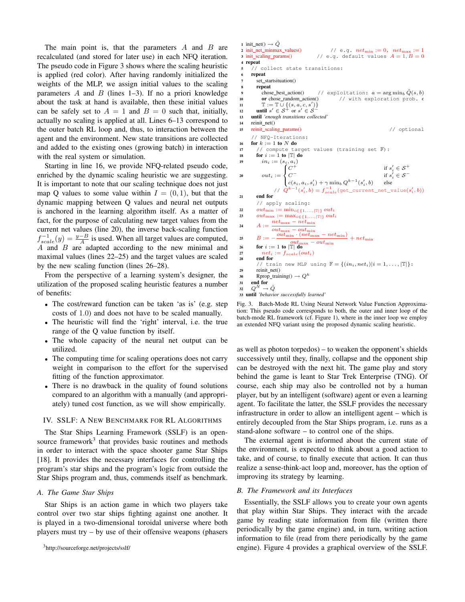The main point is, that the parameters  $A$  and  $B$  are recalculated (and stored for later use) in each NFQ iteration. The pseudo code in Figure 3 shows where the scaling heuristic is applied (red color). After having randomly initialized the weights of the MLP, we assign initial values to the scaling parameters  $A$  and  $B$  (lines 1–3). If no a priori knowledge about the task at hand is available, then these initial values can be safely set to  $A = 1$  and  $B = 0$  such that, initially, actually no scaling is applied at all. Lines 6–13 correspond to the outer batch RL loop and, thus, to interaction between the agent and the environment. New state transitions are collected and added to the existing ones (growing batch) in interaction with the real system or simulation.

Starting in line 16, we provide NFQ-related pseudo code, enriched by the dynamic scaling heuristic we are suggesting. It is important to note that our scaling technique does not just map Q values to some value within  $I = (0, 1)$ , but that the dynamic mapping between Q values and neural net outputs is anchored in the learning algorithm itself. As a matter of fact, for the purpose of calculating new target values from the current net values (line 20), the inverse back-scaling function  $f_{scale}^{-1}(y) = \frac{y-B}{A}$  is used. When all target values are computed, A and B are adapted according to the new minimal and maximal values (lines 22–25) and the target values are scaled by the new scaling function (lines 26–28).

From the perspective of a learning system's designer, the utilization of the proposed scaling heuristic features a number of benefits:

- The cost/reward function can be taken 'as is' (e.g. step costs of 1.0) and does not have to be scaled manually.
- The heuristic will find the 'right' interval, i.e. the true range of the Q value function by itself.
- The whole capacity of the neural net output can be utilized.
- The computing time for scaling operations does not carry weight in comparison to the effort for the supervised fitting of the function approximator.
- There is no drawback in the quality of found solutions compared to an algorithm with a manually (and appropriately) tuned cost function, as we will show empirically.

## IV. SSLF: A NEW BENCHMARK FOR RL ALGORITHMS

The Star Ships Learning Framework (SSLF) is an opensource framework<sup>3</sup> that provides basic routines and methods in order to interact with the space shooter game Star Ships [18]. It provides the necessary interfaces for controlling the program's star ships and the program's logic from outside the Star Ships program and, thus, commends itself as benchmark.

#### *A. The Game Star Ships*

Star Ships is an action game in which two players take control over two star ships fighting against one another. It is played in a two-dimensional toroidal universe where both players must try – by use of their offensive weapons (phasers

```
3http://sourceforge.net/projects/sslf/
```
1 init\_net()  $\rightarrow \tilde{Q}$ <br>2 init\_net\_minmax\_values() // e.g.  $net_{\text{min}} := 0$ ,  $net_{\text{max}} := 1$ 3 init\_scaling\_params()  $// e.q.$  default values  $A = 1, B = 0$ 4 repeat 5 // collect state transitions: repeat set\_startsituation() repeat 9 chose\_best\_action() // exploitation:  $a = \arg \min_b \tilde{Q}(s, b)$ <br>10 or chose\_random\_action() // with exploration prob.  $\epsilon$  $1/$  with exploration prob.  $\epsilon$ 11  $\mathbb{T} := \mathbb{T} \cup \{(s, a, c, s')\}$ 12 until  $s' \in S^+$  or  $s' \in S^{\perp}$ 13 until *'enough transitions collected'* 14 reinit net() 15 reinit\_scaling\_params() // optional // NFQ-Iterations: 16 for  $k := 1$  to N do 17 // compute target values (training set  $\mathbb{F}$ ): 18 for  $i := 1$  to  $|\mathbb{T}|$  do 19  $in_i := (s_i, a_i)$ 20  $out_i :=$  $\int_C C$  $c(s_i, a_i, s'_i) + \gamma \min_b Q^{k-1}(s'_i, b)$  else  $+$  if s  $i \in \mathcal{S}^+$  $\boldsymbol{C}$  $-$  if s  $i \in \mathcal{S}^-$ //  $\dot{Q}^{k-1}(s'_i, b) = f_{scale}^{-1}(\text{get\_current\_net\_value}(s'_i, b))$ 21 end for // apply scaling: 22  $out_{\min} := \min_{i \in \{1, ..., |\mathbb{T}|\}} out_i$ <br>23  $out_{\max} := \max_{i \in I} 1$  $\boldsymbol{out}_{\max} := \max_{i \in \{1,...,|\mathbb{T}| \}} \boldsymbol{out}_i$ 24  $A :=$  $net_{\max }-net_{\min }$  $out_{\text{max}} - out_{\text{min}}$  $25 \qquad B:=-\frac{out_{\min} \cdot (net_{\max} - net_{\min})}{t} + net_{\min}$ 26 for  $i := 1$  to  $\left| \mathbb{T} \right|$  do  $\left| \Phi \right|$ 27  $net_i := f_{scale}(out_i)$ <br>28 **end for** end for // train new MLP using  $\mathbb{F} = \{(in_i, net_i)|i = 1, ..., |\mathbb{T}|\}$ : 29 reinit net() 30 Rprop\_training()  $\rightarrow Q^k$ <br>31 end for end for  $32 \quad Q^N \rightarrow \tilde{Q}$ 

33 until *'behavior successfully learned'*

Fig. 3. Batch-Mode RL Using Neural Network Value Function Approximation: This pseudo code corresponds to both, the outer and inner loop of the batch-mode RL framework (cf. Figure 1), where in the inner loop we employ an extended NFQ variant using the proposed dynamic scaling heuristic.

as well as photon torpedos) – to weaken the opponent's shields successively until they, finally, collapse and the opponent ship can be destroyed with the next hit. The game play and story behind the game is leant to Star Trek Enterprise (TNG). Of course, each ship may also be controlled not by a human player, but by an intelligent (software) agent or even a learning agent. To facilitate the latter, the SSLF provides the necessary infrastructure in order to allow an intelligent agent – which is entirely decoupled from the Star Ships program, i.e. runs as a stand-alone software – to control one of the ships.

The external agent is informed about the current state of the environment, is expected to think about a good action to take, and of course, to finally execute that action. It can thus realize a sense-think-act loop and, moreover, has the option of improving its strategy by learning.

#### *B. The Framework and its Interfaces*

Essentially, the SSLF allows you to create your own agents that play within Star Ships. They interact with the arcade game by reading state information from file (written there periodically by the game engine) and, in turn, writing action information to file (read from there periodically by the game engine). Figure 4 provides a graphical overview of the SSLF.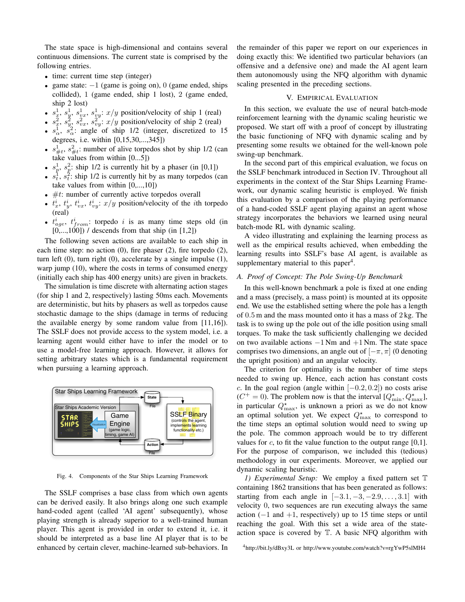The state space is high-dimensional and contains several continuous dimensions. The current state is comprised by the following entries.

- time: current time step (integer)
- game state:  $-1$  (game is going on), 0 (game ended, ships collided), 1 (game ended, ship 1 lost), 2 (game ended, ship 2 lost)
- $s_x^1$ ,  $s_y^1$ ,  $s_{vx}^1$ ,  $s_{vy}^1$ :  $x/y$  position/velocity of ship 1 (real)
- $s_x^2$ ,  $s_y^2$ ,  $s_{vx}^2$ ,  $s_{vy}^2$ :  $x/y$  position/velocity of ship 2 (real)
- $s_{\alpha}^1$ ,  $s_{\alpha}^2$ : angle of ship 1/2 (integer, discretized to 15 degrees, i.e. within [0,15,30,...,345])
- $s_{\#t}^1$ ,  $s_{\#t}^2$ : number of alive torpedos shot by ship 1/2 (can take values from within [0...5])
- $s_p^1$ ,  $s_p^2$ : ship 1/2 is currently hit by a phaser (in [0,1])
- $s_t^1$ ,  $s_t^2$ : ship 1/2 is currently hit by as many torpedos (can take values from within  $[0, ..., 10]$
- $\#t$ : number of currently active torpedos overall
- $t_x^i$ ,  $t_y^i$ ,  $t_{vx}^i$ ,  $t_{vy}^i$ :  $x/y$  position/velocity of the *i*th torpedo (real)
- $t_{age}^i$ ,  $t_{from}^i$ : torpedo i is as many time steps old (in  $[0, \ldots, 100]$  / descends from that ship (in [1,2])

The following seven actions are available to each ship in each time step: no action (0), fire phaser (2), fire torpedo (2), turn left (0), turn right (0), accelerate by a single impulse (1), warp jump (10), where the costs in terms of consumed energy (initially each ship has 400 energy units) are given in brackets.

The simulation is time discrete with alternating action stages (for ship 1 and 2, respectively) lasting 50ms each. Movements are deterministic, but hits by phasers as well as torpedos cause stochastic damage to the ships (damage in terms of reducing the available energy by some random value from [11,16]). The SSLF does not provide access to the system model, i.e. a learning agent would either have to infer the model or to use a model-free learning approach. However, it allows for setting arbitrary states which is a fundamental requirement when pursuing a learning approach.



Fig. 4. Components of the Star Ships Learning Framework

The SSLF comprises a base class from which own agents can be derived easily. It also brings along one such example hand-coded agent (called 'AI agent' subsequently), whose playing strength is already superior to a well-trained human player. This agent is provided in order to extend it, i.e. it should be interpreted as a base line AI player that is to be enhanced by certain clever, machine-learned sub-behaviors. In the remainder of this paper we report on our experiences in doing exactly this: We identified two particular behaviors (an offensive and a defensive one) and made the AI agent learn them autonomously using the NFQ algorithm with dynamic scaling presented in the preceding sections.

### V. EMPIRICAL EVALUATION

In this section, we evaluate the use of neural batch-mode reinforcement learning with the dynamic scaling heuristic we proposed. We start off with a proof of concept by illustrating the basic functioning of NFQ with dynamic scaling and by presenting some results we obtained for the well-known pole swing-up benchmark.

In the second part of this empirical evaluation, we focus on the SSLF benchmark introduced in Section IV. Throughout all experiments in the context of the Star Ships Learning Framework, our dynamic scaling heuristic is employed. We finish this evaluation by a comparison of the playing performance of a hand-coded SSLF agent playing against an agent whose strategy incorporates the behaviors we learned using neural batch-mode RL with dynamic scaling.

A video illustrating and explaining the learning process as well as the empirical results achieved, when embedding the learning results into SSLF's base AI agent, is available as supplementary material to this paper<sup>4</sup>.

## *A. Proof of Concept: The Pole Swing-Up Benchmark*

In this well-known benchmark a pole is fixed at one ending and a mass (precisely, a mass point) is mounted at its opposite end. We use the established setting where the pole has a length of 0.5 m and the mass mounted onto it has a mass of 2 kg. The task is to swing up the pole out of the idle position using small torques. To make the task sufficiently challenging we decided on two available actions  $-1$  Nm and  $+1$  Nm. The state space comprises two dimensions, an angle out of  $[-\pi, \pi]$  (0 denoting the upright position) and an angular velocity.

The criterion for optimality is the number of time steps needed to swing up. Hence, each action has constant costs c. In the goal region (angle within  $[-0.2, 0.2]$ ) no costs arise  $(C^+ = 0)$ . The problem now is that the interval  $[Q^{\star}_{min}, Q^{\star}_{max}]$ , in particular  $Q_{\text{max}}^*$ , is unknown a priori as we do not know an optimal solution yet. We expect  $Q_{\text{max}}^{\star}$  to correspond to the time steps an optimal solution would need to swing up the pole. The common approach would be to try different values for  $c$ , to fit the value function to the output range  $[0,1]$ . For the purpose of comparison, we included this (tedious) methodology in our experiments. Moreover, we applied our dynamic scaling heuristic.

*1) Experimental Setup:* We employ a fixed pattern set T containing 1862 transitions that has been generated as follows: starting from each angle in  $[-3.1, -3, -2.9, \ldots, 3.1]$  with velocity 0, two sequences are run executing always the same action  $(-1$  and  $+1$ , respectively) up to 15 time steps or until reaching the goal. With this set a wide area of the stateaction space is covered by  $T$ . A basic NFQ algorithm with

<sup>4</sup>http://bit.ly/dBxy3L or http://www.youtube.com/watch?v=rgYwP5slMH4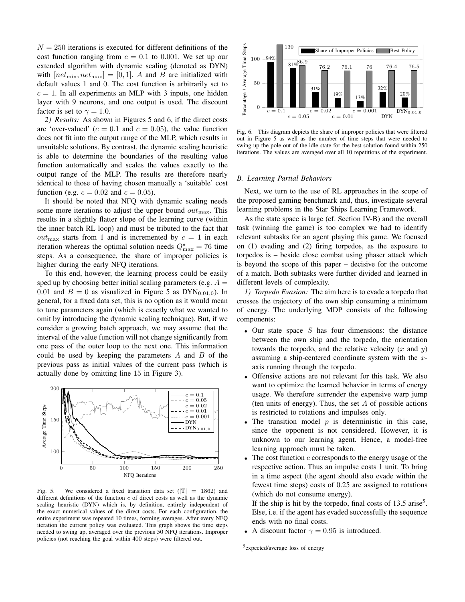$N = 250$  iterations is executed for different definitions of the cost function ranging from  $c = 0.1$  to 0.001. We set up our extended algorithm with dynamic scaling (denoted as DYN) with  $[net_{\text{min}}, net_{\text{max}}] = [0, 1]$ . A and B are initialized with default values 1 and 0. The cost function is arbitrarily set to  $c = 1$ . In all experiments an MLP with 3 inputs, one hidden layer with 9 neurons, and one output is used. The discount factor is set to  $\gamma = 1.0$ .

*2) Results:* As shown in Figures 5 and 6, if the direct costs are 'over-valued' ( $c = 0.1$  and  $c = 0.05$ ), the value function does not fit into the output range of the MLP, which results in unsuitable solutions. By contrast, the dynamic scaling heuristic is able to determine the boundaries of the resulting value function automatically and scales the values exactly to the output range of the MLP. The results are therefore nearly identical to those of having chosen manually a 'suitable' cost function (e.g.  $c = 0.02$  and  $c = 0.05$ ).

It should be noted that NFQ with dynamic scaling needs some more iterations to adjust the upper bound  $out_{\text{max}}$ . This results in a slightly flatter slope of the learning curve (within the inner batch RL loop) and must be tributed to the fact that  $out_{\text{max}}$  starts from 1 and is incremented by  $c = 1$  in each iteration whereas the optimal solution needs  $Q_{\text{max}}^{\star} = 76$  time steps. As a consequence, the share of improper policies is higher during the early NFQ iterations.

To this end, however, the learning process could be easily sped up by choosing better initial scaling parameters (e.g.  $A =$ 0.01 and  $B = 0$  as visualized in Figure 5 as DYN<sub>0.01,0</sub>). In general, for a fixed data set, this is no option as it would mean to tune parameters again (which is exactly what we wanted to omit by introducing the dynamic scaling technique). But, if we consider a growing batch approach, we may assume that the interval of the value function will not change significantly from one pass of the outer loop to the next one. This information could be used by keeping the parameters  $A$  and  $B$  of the previous pass as initial values of the current pass (which is actually done by omitting line 15 in Figure 3).



Fig. 5. We considered a fixed transition data set ( $|\mathbb{T}| = 1862$ ) and different definitions of the function  $c$  of direct costs as well as the dynamic scaling heuristic (DYN) which is, by definition, entirely independent of the exact numerical values of the direct costs. For each configuration, the entire experiment was repeated 10 times, forming averages. After every NFQ iteration the current policy was evaluated. This graph shows the time steps needed to swing up, averaged over the previous 50 NFQ iterations. Improper policies (not reaching the goal within 400 steps) were filtered out.



Fig. 6. This diagram depicts the share of improper policies that were filtered out in Figure 5 as well as the number of time steps that were needed to swing up the pole out of the idle state for the best solution found within 250 iterations. The values are averaged over all 10 repetitions of the experiment.

#### *B. Learning Partial Behaviors*

Next, we turn to the use of RL approaches in the scope of the proposed gaming benchmark and, thus, investigate several learning problems in the Star Ships Learning Framework.

As the state space is large (cf. Section IV-B) and the overall task (winning the game) is too complex we had to identify relevant subtasks for an agent playing this game. We focused on (1) evading and (2) firing torpedos, as the exposure to torpedos is – beside close combat using phaser attack which is beyond the scope of this paper – decisive for the outcome of a match. Both subtasks were further divided and learned in different levels of complexity.

*1) Torpedo Evasion:* The aim here is to evade a torpedo that crosses the trajectory of the own ship consuming a minimum of energy. The underlying MDP consists of the following components:

- Our state space  $S$  has four dimensions: the distance between the own ship and the torpedo, the orientation towards the torpedo, and the relative velocity  $(x \text{ and } y)$ assuming a ship-centered coordinate system with the xaxis running through the torpedo.
- Offensive actions are not relevant for this task. We also want to optimize the learned behavior in terms of energy usage. We therefore surrender the expensive warp jump (ten units of energy). Thus, the set  $A$  of possible actions is restricted to rotations and impulses only.
- The transition model  $p$  is deterministic in this case, since the opponent is not considered. However, it is unknown to our learning agent. Hence, a model-free learning approach must be taken.
- The cost function  $c$  corresponds to the energy usage of the respective action. Thus an impulse costs 1 unit. To bring in a time aspect (the agent should also evade within the fewest time steps) costs of 0.25 are assigned to rotations (which do not consume energy).

If the ship is hit by the torpedo, final costs of  $13.5$  arise<sup>5</sup>. Else, i.e. if the agent has evaded successfully the sequence ends with no final costs.

A discount factor  $\gamma = 0.95$  is introduced.

5 expected/average loss of energy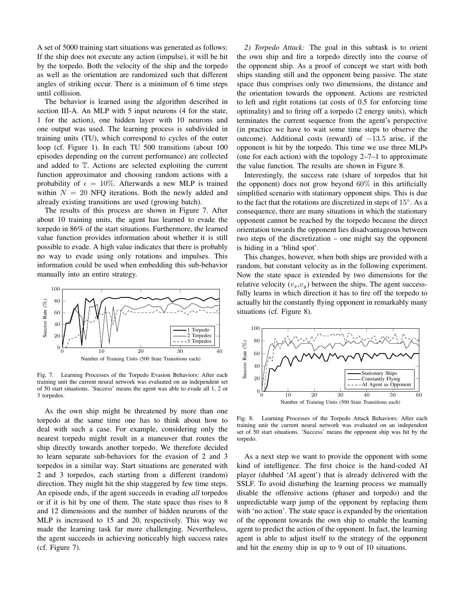A set of 5000 training start situations was generated as follows: If the ship does not execute any action (impulse), it will be hit by the torpedo. Both the velocity of the ship and the torpedo as well as the orientation are randomized such that different angles of striking occur. There is a minimum of 6 time steps until collision.

The behavior is learned using the algorithm described in section III-A. An MLP with 5 input neurons (4 for the state, 1 for the action), one hidden layer with 10 neurons and one output was used. The learning process is subdivided in training units (TU), which correspond to cycles of the outer loop (cf. Figure 1). In each TU 500 transitions (about 100 episodes depending on the current performance) are collected and added to T. Actions are selected exploiting the current function approximator and choosing random actions with a probability of  $\epsilon = 10\%$ . Afterwards a new MLP is trained within  $N = 20$  NFQ iterations. Both the newly added and already existing transitions are used (growing batch).

The results of this process are shown in Figure 7. After about 10 training units, the agent has learned to evade the torpedo in 86% of the start situations. Furthermore, the learned value function provides information about whether it is still possible to evade. A high value indicates that there is probably no way to evade using only rotations and impulses. This information could be used when embedding this sub-behavior manually into an entire strategy.



Fig. 7. Learning Processes of the Torpedo Evasion Behaviors: After each training unit the current neural network was evaluated on an independent set of 50 start situations. 'Success' means the agent was able to evade all 1, 2 or 3 torpedos.

As the own ship might be threatened by more than one torpedo at the same time one has to think about how to deal with such a case. For example, considering only the nearest torpedo might result in a maneuver that routes the ship directly towards another torpedo. We therefore decided to learn separate sub-behaviors for the evasion of 2 and 3 torpedos in a similar way. Start situations are generated with 2 and 3 torpedos, each starting from a different (random) direction. They might hit the ship staggered by few time steps. An episode ends, if the agent succeeds in evading *all* torpedos or if it is hit by one of them. The state space thus rises to 8 and 12 dimensions and the number of hidden neurons of the MLP is increased to 15 and 20, respectively. This way we made the learning task far more challenging. Nevertheless, the agent succeeds in achieving noticeably high success rates (cf. Figure 7).

*2) Torpedo Attack:* The goal in this subtask is to orient the own ship and fire a torpedo directly into the course of the opponent ship. As a proof of concept we start with both ships standing still and the opponent being passive. The state space thus comprises only two dimensions, the distance and the orientation towards the opponent. Actions are restricted to left and right rotations (at costs of 0.5 for enforcing time optimality) and to firing off a torpedo (2 energy units), which terminates the current sequence from the agent's perspective (in practice we have to wait some time steps to observe the outcome). Additional costs (reward) of  $-13.5$  arise, if the opponent is hit by the torpedo. This time we use three MLPs (one for each action) with the topology 2–7–1 to approximate the value function. The results are shown in Figure 8.

Interestingly, the success rate (share of torpedos that hit the opponent) does not grow beyond 60% in this artificially simplified scenario with stationary opponent ships. This is due to the fact that the rotations are discretized in steps of 15◦ . As a consequence, there are many situations in which the stationary opponent cannot be reached by the torpedo because the direct orientation towards the opponent lies disadvantageous between two steps of the discretization – one might say the opponent is hiding in a 'blind spot'.

This changes, however, when both ships are provided with a random, but constant velocity as in the following experiment. Now the state space is extended by two dimensions for the relative velocity  $(v_x,v_y)$  between the ships. The agent successfully learns in which direction it has to fire off the torpedo to actually hit the constantly flying opponent in remarkably many situations (cf. Figure 8).



Fig. 8. Learning Processes of the Torpedo Attack Behaviors: After each training unit the current neural network was evaluated on an independent set of 50 start situations. 'Success' means the opponent ship was hit by the torpedo.

As a next step we want to provide the opponent with some kind of intelligence. The first choice is the hand-coded AI player (dubbed 'AI agent') that is already delivered with the SSLF. To avoid disturbing the learning process we manually disable the offensive actions (phaser and torpedo) and the unpredictable warp jump of the opponent by replacing them with 'no action'. The state space is expanded by the orientation of the opponent towards the own ship to enable the learning agent to predict the action of the opponent. In fact, the learning agent is able to adjust itself to the strategy of the opponent and hit the enemy ship in up to 9 out of 10 situations.